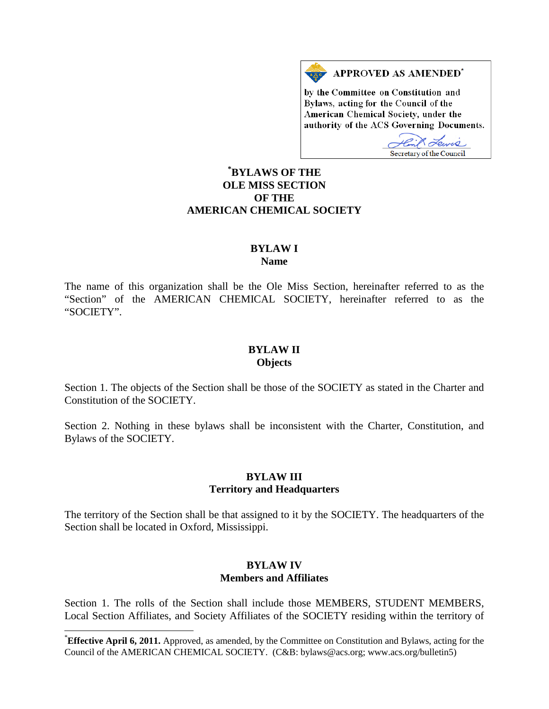

by the Committee on Constitution and Bylaws, acting for the Council of the American Chemical Society, under the authority of the ACS Governing Documents.

Tewis Secretary of the Council

## **[\\*](#page-0-0) BYLAWS OF THE OLE MISS SECTION OF THE AMERICAN CHEMICAL SOCIETY**

#### **BYLAW I Name**

The name of this organization shall be the Ole Miss Section, hereinafter referred to as the "Section" of the AMERICAN CHEMICAL SOCIETY, hereinafter referred to as the "SOCIETY".

#### **BYLAW II Objects**

Section 1. The objects of the Section shall be those of the SOCIETY as stated in the Charter and Constitution of the SOCIETY.

Section 2. Nothing in these bylaws shall be inconsistent with the Charter, Constitution, and Bylaws of the SOCIETY.

#### **BYLAW III Territory and Headquarters**

The territory of the Section shall be that assigned to it by the SOCIETY. The headquarters of the Section shall be located in Oxford, Mississippi.

#### **BYLAW IV Members and Affiliates**

Section 1. The rolls of the Section shall include those MEMBERS, STUDENT MEMBERS, Local Section Affiliates, and Society Affiliates of the SOCIETY residing within the territory of

<span id="page-0-0"></span>**Effective April 6, 2011.** Approved, as amended, by the Committee on Constitution and Bylaws, acting for the Council of the AMERICAN CHEMICAL SOCIETY. (C&B: bylaws@acs.org; www.acs.org/bulletin5)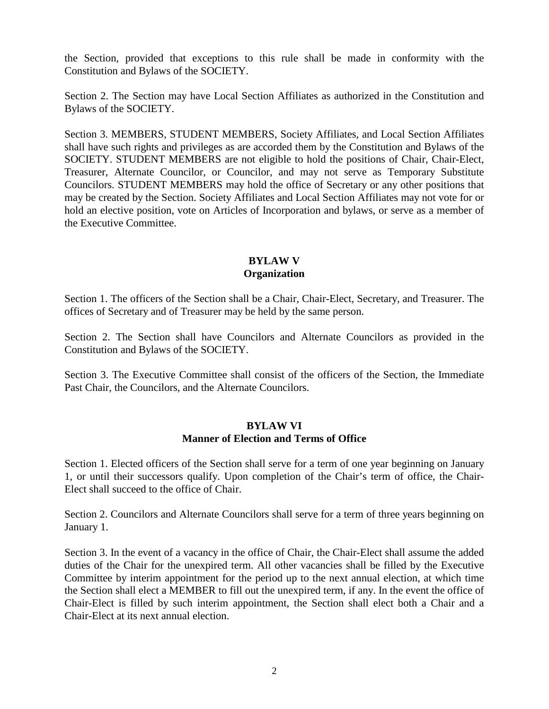the Section, provided that exceptions to this rule shall be made in conformity with the Constitution and Bylaws of the SOCIETY.

Section 2. The Section may have Local Section Affiliates as authorized in the Constitution and Bylaws of the SOCIETY.

Section 3. MEMBERS, STUDENT MEMBERS, Society Affiliates, and Local Section Affiliates shall have such rights and privileges as are accorded them by the Constitution and Bylaws of the SOCIETY. STUDENT MEMBERS are not eligible to hold the positions of Chair, Chair-Elect, Treasurer, Alternate Councilor, or Councilor, and may not serve as Temporary Substitute Councilors. STUDENT MEMBERS may hold the office of Secretary or any other positions that may be created by the Section. Society Affiliates and Local Section Affiliates may not vote for or hold an elective position, vote on Articles of Incorporation and bylaws, or serve as a member of the Executive Committee.

### **BYLAW V Organization**

Section 1. The officers of the Section shall be a Chair, Chair-Elect, Secretary, and Treasurer. The offices of Secretary and of Treasurer may be held by the same person.

Section 2. The Section shall have Councilors and Alternate Councilors as provided in the Constitution and Bylaws of the SOCIETY.

Section 3. The Executive Committee shall consist of the officers of the Section, the Immediate Past Chair, the Councilors, and the Alternate Councilors.

## **BYLAW VI Manner of Election and Terms of Office**

Section 1. Elected officers of the Section shall serve for a term of one year beginning on January 1, or until their successors qualify. Upon completion of the Chair's term of office, the Chair-Elect shall succeed to the office of Chair.

Section 2. Councilors and Alternate Councilors shall serve for a term of three years beginning on January 1.

Section 3. In the event of a vacancy in the office of Chair, the Chair-Elect shall assume the added duties of the Chair for the unexpired term. All other vacancies shall be filled by the Executive Committee by interim appointment for the period up to the next annual election, at which time the Section shall elect a MEMBER to fill out the unexpired term, if any. In the event the office of Chair-Elect is filled by such interim appointment, the Section shall elect both a Chair and a Chair-Elect at its next annual election.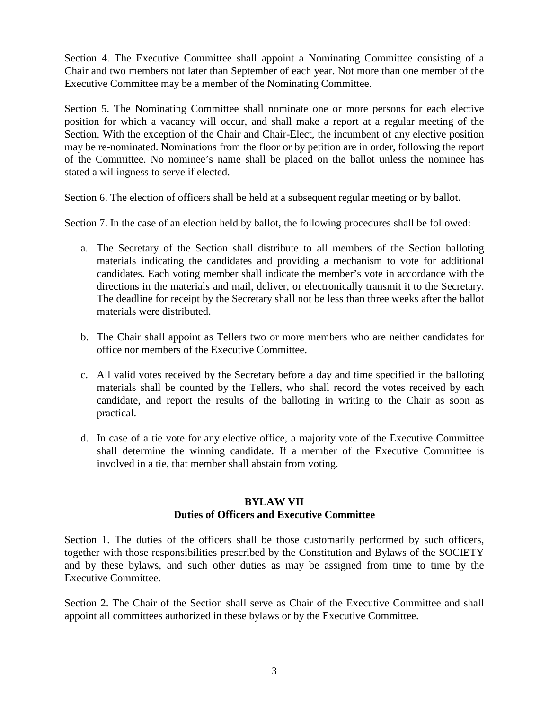Section 4. The Executive Committee shall appoint a Nominating Committee consisting of a Chair and two members not later than September of each year. Not more than one member of the Executive Committee may be a member of the Nominating Committee.

Section 5. The Nominating Committee shall nominate one or more persons for each elective position for which a vacancy will occur, and shall make a report at a regular meeting of the Section. With the exception of the Chair and Chair-Elect, the incumbent of any elective position may be re-nominated. Nominations from the floor or by petition are in order, following the report of the Committee. No nominee's name shall be placed on the ballot unless the nominee has stated a willingness to serve if elected.

Section 6. The election of officers shall be held at a subsequent regular meeting or by ballot.

Section 7. In the case of an election held by ballot, the following procedures shall be followed:

- a. The Secretary of the Section shall distribute to all members of the Section balloting materials indicating the candidates and providing a mechanism to vote for additional candidates. Each voting member shall indicate the member's vote in accordance with the directions in the materials and mail, deliver, or electronically transmit it to the Secretary. The deadline for receipt by the Secretary shall not be less than three weeks after the ballot materials were distributed.
- b. The Chair shall appoint as Tellers two or more members who are neither candidates for office nor members of the Executive Committee.
- c. All valid votes received by the Secretary before a day and time specified in the balloting materials shall be counted by the Tellers, who shall record the votes received by each candidate, and report the results of the balloting in writing to the Chair as soon as practical.
- d. In case of a tie vote for any elective office, a majority vote of the Executive Committee shall determine the winning candidate. If a member of the Executive Committee is involved in a tie, that member shall abstain from voting.

## **BYLAW VII Duties of Officers and Executive Committee**

Section 1. The duties of the officers shall be those customarily performed by such officers, together with those responsibilities prescribed by the Constitution and Bylaws of the SOCIETY and by these bylaws, and such other duties as may be assigned from time to time by the Executive Committee.

Section 2. The Chair of the Section shall serve as Chair of the Executive Committee and shall appoint all committees authorized in these bylaws or by the Executive Committee.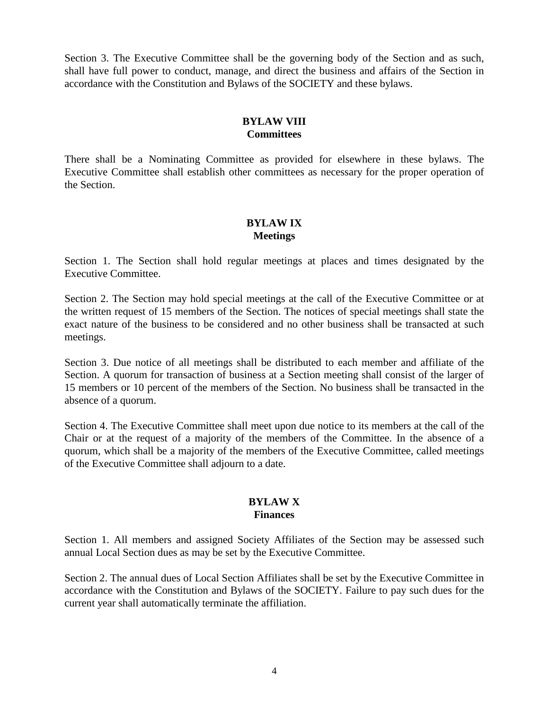Section 3. The Executive Committee shall be the governing body of the Section and as such, shall have full power to conduct, manage, and direct the business and affairs of the Section in accordance with the Constitution and Bylaws of the SOCIETY and these bylaws.

### **BYLAW VIII Committees**

There shall be a Nominating Committee as provided for elsewhere in these bylaws. The Executive Committee shall establish other committees as necessary for the proper operation of the Section.

# **BYLAW IX Meetings**

Section 1. The Section shall hold regular meetings at places and times designated by the Executive Committee.

Section 2. The Section may hold special meetings at the call of the Executive Committee or at the written request of 15 members of the Section. The notices of special meetings shall state the exact nature of the business to be considered and no other business shall be transacted at such meetings.

Section 3. Due notice of all meetings shall be distributed to each member and affiliate of the Section. A quorum for transaction of business at a Section meeting shall consist of the larger of 15 members or 10 percent of the members of the Section. No business shall be transacted in the absence of a quorum.

Section 4. The Executive Committee shall meet upon due notice to its members at the call of the Chair or at the request of a majority of the members of the Committee. In the absence of a quorum, which shall be a majority of the members of the Executive Committee, called meetings of the Executive Committee shall adjourn to a date.

#### **BYLAW X Finances**

Section 1. All members and assigned Society Affiliates of the Section may be assessed such annual Local Section dues as may be set by the Executive Committee.

Section 2. The annual dues of Local Section Affiliates shall be set by the Executive Committee in accordance with the Constitution and Bylaws of the SOCIETY. Failure to pay such dues for the current year shall automatically terminate the affiliation.